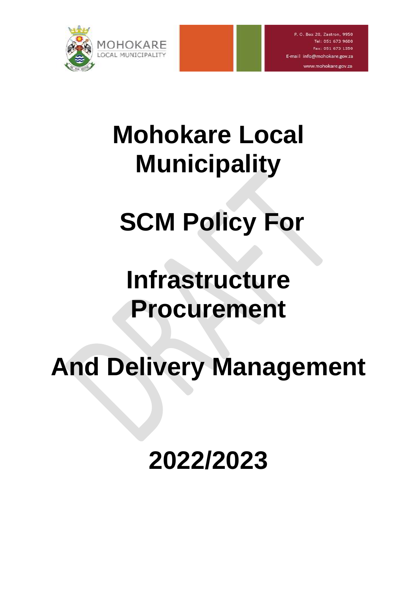

www.mohokare.gov.za

# **Mohokare Local Municipality**

# **SCM Policy For**

# **Infrastructure Procurement**

# **And Delivery Management**

**2022/2023**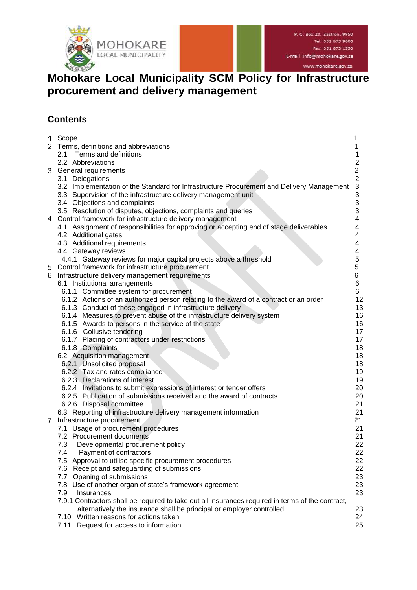

www.mohokare.gov.za

# **Mohokare Local Municipality SCM Policy for Infrastructure procurement and delivery management**

# **Contents**

| 1              | Scope                                                                                             |                           |
|----------------|---------------------------------------------------------------------------------------------------|---------------------------|
| $\overline{2}$ | Terms, definitions and abbreviations                                                              | 1                         |
|                | 2.1 Terms and definitions                                                                         | 1                         |
|                | 2.2 Abbreviations                                                                                 | $\overline{\mathbf{c}}$   |
| 3.             | General requirements                                                                              | $\overline{c}$            |
|                | 3.1 Delegations                                                                                   | $\overline{2}$            |
|                | 3.2 Implementation of the Standard for Infrastructure Procurement and Delivery Management         | $\ensuremath{\mathsf{3}}$ |
|                | 3.3 Supervision of the infrastructure delivery management unit                                    | 3                         |
|                | 3.4 Objections and complaints                                                                     | 3                         |
|                | 3.5 Resolution of disputes, objections, complaints and queries                                    | 3                         |
| 4              | Control framework for infrastructure delivery management                                          | 4                         |
|                | 4.1 Assignment of responsibilities for approving or accepting end of stage deliverables           | 4                         |
|                | 4.2 Additional gates                                                                              | 4                         |
|                | 4.3 Additional requirements                                                                       | 4                         |
|                | 4.4 Gateway reviews                                                                               | 4                         |
|                | 4.4.1 Gateway reviews for major capital projects above a threshold                                | $\mathbf 5$               |
| 5              | Control framework for infrastructure procurement                                                  | 5                         |
| 6              | Infrastructure delivery management requirements                                                   | 6                         |
|                | 6.1 Institutional arrangements                                                                    | 6                         |
|                | 6.1.1 Committee system for procurement                                                            | 6                         |
|                | 6.1.2 Actions of an authorized person relating to the award of a contract or an order             | 12                        |
|                | 6.1.3 Conduct of those engaged in infrastructure delivery                                         | 13                        |
|                | 6.1.4 Measures to prevent abuse of the infrastructure delivery system                             | 16                        |
|                | 6.1.5 Awards to persons in the service of the state                                               | 16                        |
|                | 6.1.6 Collusive tendering                                                                         | 17                        |
|                | 6.1.7 Placing of contractors under restrictions                                                   | 17                        |
|                | 6.1.8 Complaints                                                                                  | 18                        |
|                | 6.2 Acquisition management                                                                        | 18<br>18                  |
|                | 6.2.1 Unsolicited proposal<br>6.2.2 Tax and rates compliance                                      | 19                        |
|                | 6.2.3 Declarations of interest                                                                    | 19                        |
|                | 6.2.4 Invitations to submit expressions of interest or tender offers                              | 20                        |
|                | 6.2.5 Publication of submissions received and the award of contracts                              | 20                        |
|                | 6.2.6 Disposal committee                                                                          | 21                        |
|                | 6.3 Reporting of infrastructure delivery management information                                   | 21                        |
| 7              | Infrastructure procurement                                                                        | 21                        |
|                | 7.1 Usage of procurement procedures                                                               | 21                        |
|                | 7.2 Procurement documents                                                                         | 21                        |
|                | 7.3<br>Developmental procurement policy                                                           | 22                        |
|                | 7.4<br>Payment of contractors                                                                     | 22                        |
|                | 7.5 Approval to utilise specific procurement procedures                                           | 22                        |
|                | 7.6 Receipt and safeguarding of submissions                                                       | 22                        |
|                | 7.7<br>Opening of submissions                                                                     | 23                        |
|                | 7.8 Use of another organ of state's framework agreement                                           | 23                        |
|                | 7.9<br>Insurances                                                                                 | 23                        |
|                | 7.9.1 Contractors shall be required to take out all insurances required in terms of the contract, |                           |
|                | alternatively the insurance shall be principal or employer controlled.                            | 23                        |
|                | 7.10 Written reasons for actions taken                                                            | 24                        |
|                | Request for access to information<br>7.11                                                         | 25                        |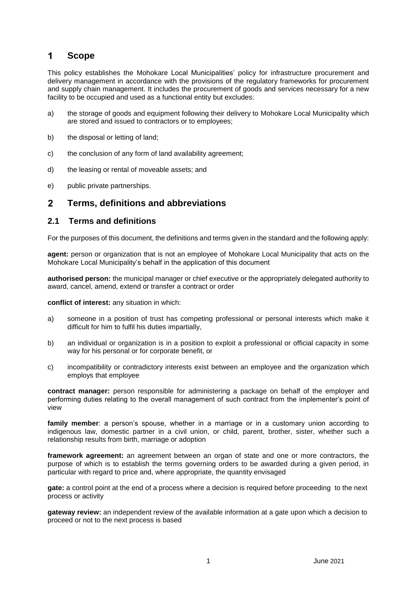#### <span id="page-2-0"></span>1 **Scope**

This policy establishes the Mohokare Local Municipalities' policy for infrastructure procurement and delivery management in accordance with the provisions of the regulatory frameworks for procurement and supply chain management. It includes the procurement of goods and services necessary for a new facility to be occupied and used as a functional entity but excludes:

- a) the storage of goods and equipment following their delivery to Mohokare Local Municipality which are stored and issued to contractors or to employees;
- b) the disposal or letting of land;
- c) the conclusion of any form of land availability agreement;
- d) the leasing or rental of moveable assets; and
- e) public private partnerships.

#### <span id="page-2-1"></span> $\overline{2}$ **Terms, definitions and abbreviations**

## <span id="page-2-2"></span>**2.1 Terms and definitions**

For the purposes of this document, the definitions and terms given in the standard and the following apply:

**agent:** person or organization that is not an employee of Mohokare Local Municipality that acts on the Mohokare Local Municipality's behalf in the application of this document

**authorised person:** the municipal manager or chief executive or the appropriately delegated authority to award, cancel, amend, extend or transfer a contract or order

**conflict of interest:** any situation in which:

- a) someone in a position of trust has competing professional or personal interests which make it difficult for him to fulfil his [duties](http://en.wikipedia.org/wiki/Duty) [impartially,](http://en.wikipedia.org/wiki/Impartiality)
- b) an individual or organization is in a position to exploit a professional or official capacity in some way for his personal or for corporate benefit, or
- c) incompatibility or contradictory interests exist between an employee and the organization which employs that employee

**contract manager:** person responsible for administering a package on behalf of the employer and performing duties relating to the overall management of such contract from the implementer's point of view

**family member**: a person's spouse, whether in a marriage or in a customary union according to indigenous law, domestic partner in a civil union, or child, parent, brother, sister, whether such a relationship results from birth, marriage or adoption

**framework agreement:** an agreement between an organ of state and one or more contractors, the purpose of which is to establish the terms governing orders to be awarded during a given period, in particular with regard to price and, where appropriate, the quantity envisaged

**gate:** a control point at the end of a process where a decision is required before proceeding to the next process or activity

**gateway review:** an independent review of the available information at a gate upon which a decision to proceed or not to the next process is based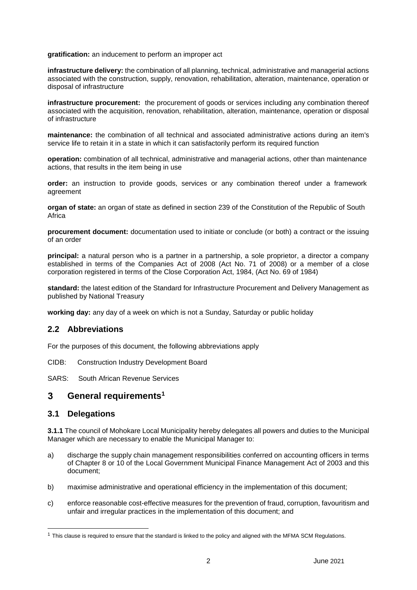**gratification:** an inducement to perform an improper act

**infrastructure delivery:** the combination of all planning, technical, administrative and managerial actions associated with the construction, supply, renovation, rehabilitation, alteration, maintenance, operation or disposal of infrastructure

**infrastructure procurement:** the procurement of goods or services including any combination thereof associated with the acquisition, renovation, rehabilitation, alteration, maintenance, operation or disposal of infrastructure

**maintenance:** the combination of all technical and associated administrative actions during an item's service life to retain it in a state in which it can satisfactorily perform its required function

**operation:** combination of all technical, administrative and managerial actions, other than maintenance actions, that results in the item being in use

**order:** an instruction to provide goods, services or any combination thereof under a framework agreement

**organ of state:** an organ of state as defined in section 239 of the Constitution of the Republic of South Africa

**procurement document:** documentation used to initiate or conclude (or both) a contract or the issuing of an order

**principal:** a natural person who is a partner in a partnership, a sole proprietor, a director a company established in terms of the Companies Act of 2008 (Act No. 71 of 2008) or a member of a close corporation registered in terms of the Close Corporation Act, 1984, (Act No. 69 of 1984)

**standard:** the latest edition of the Standard for Infrastructure Procurement and Delivery Management as published by National Treasury

**working day:** any day of a week on which is not a Sunday, Saturday or public holiday

## <span id="page-3-0"></span>**2.2 Abbreviations**

For the purposes of this document, the following abbreviations apply

CIDB: Construction Industry Development Board

SARS: South African Revenue Services

#### <span id="page-3-1"></span>3 **General requirements<sup>1</sup>**

## <span id="page-3-2"></span>**3.1 Delegations**

l

**3.1.1** The council of Mohokare Local Municipality hereby delegates all powers and duties to the Municipal Manager which are necessary to enable the Municipal Manager to:

- a) discharge the supply chain management responsibilities conferred on accounting officers in terms of Chapter 8 or 10 of the Local Government Municipal Finance Management Act of 2003 and this document;
- b) maximise administrative and operational efficiency in the implementation of this document;
- c) enforce reasonable cost-effective measures for the prevention of fraud, corruption, favouritism and unfair and irregular practices in the implementation of this document; and

 $1$  This clause is required to ensure that the standard is linked to the policy and aligned with the MFMA SCM Regulations.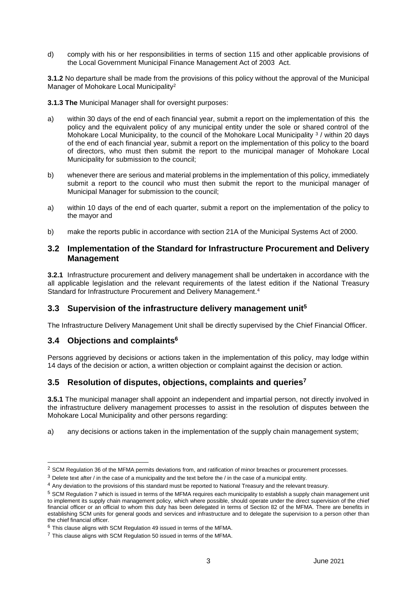d) comply with his or her responsibilities in terms of section 115 and other applicable provisions of the Local Government Municipal Finance Management Act of 2003 Act.

**3.1.2** No departure shall be made from the provisions of this policy without the approval of the Municipal Manager of Mohokare Local Municipality<sup>2</sup>

**3.1.3 The** Municipal Manager shall for oversight purposes:

- a) within 30 days of the end of each financial year, submit a report on the implementation of this the policy and the equivalent policy of any municipal entity under the sole or shared control of the Mohokare Local Municipality, to the council of the Mohokare Local Municipality <sup>3</sup> / within 20 days of the end of each financial year, submit a report on the implementation of this policy to the board of directors, who must then submit the report to the municipal manager of Mohokare Local Municipality for submission to the council;
- b) whenever there are serious and material problems in the implementation of this policy, immediately submit a report to the council who must then submit the report to the municipal manager of Municipal Manager for submission to the council;
- a) within 10 days of the end of each quarter, submit a report on the implementation of the policy to the mayor and
- b) make the reports public in accordance with section 21A of the Municipal Systems Act of 2000.

## <span id="page-4-0"></span>**3.2 Implementation of the Standard for Infrastructure Procurement and Delivery Management**

**3.2.1** Infrastructure procurement and delivery management shall be undertaken in accordance with the all applicable legislation and the relevant requirements of the latest edition if the National Treasury Standard for Infrastructure Procurement and Delivery Management. 4

## <span id="page-4-1"></span>**3.3 Supervision of the infrastructure delivery management unit<sup>5</sup>**

The Infrastructure Delivery Management Unit shall be directly supervised by the Chief Financial Officer.

## <span id="page-4-2"></span>**3.4 Objections and complaints<sup>6</sup>**

l

Persons aggrieved by decisions or actions taken in the implementation of this policy, may lodge within 14 days of the decision or action, a written objection or complaint against the decision or action.

## <span id="page-4-3"></span>**3.5 Resolution of disputes, objections, complaints and queries<sup>7</sup>**

**3.5.1** The municipal manager shall appoint an independent and impartial person, not directly involved in the infrastructure delivery management processes to assist in the resolution of disputes between the Mohokare Local Municipality and other persons regarding:

a) any decisions or actions taken in the implementation of the supply chain management system;

 $2$  SCM Regulation 36 of the MFMA permits deviations from, and ratification of minor breaches or procurement processes.

 $3$  Delete text after / in the case of a municipality and the text before the / in the case of a municipal entity.

<sup>4</sup> Any deviation to the provisions of this standard must be reported to National Treasury and the relevant treasury.

 $5$  SCM Regulation 7 which is issued in terms of the MFMA reguires each municipality to establish a supply chain management unit to implement its supply chain management policy, which where possible, should operate under the direct supervision of the chief financial officer or an official to whom this duty has been delegated in terms of Section 82 of the MFMA. There are benefits in establishing SCM units for general goods and services and infrastructure and to delegate the supervision to a person other than the chief financial officer.

<sup>6</sup> This clause aligns with SCM Regulation 49 issued in terms of the MFMA.

 $7$  This clause aligns with SCM Regulation 50 issued in terms of the MFMA.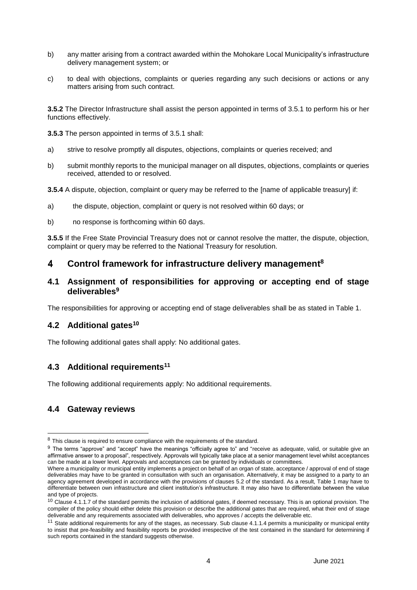- b) any matter arising from a contract awarded within the Mohokare Local Municipality's infrastructure delivery management system; or
- c) to deal with objections, complaints or queries regarding any such decisions or actions or any matters arising from such contract.

**3.5.2** The Director Infrastructure shall assist the person appointed in terms of 3.5.1 to perform his or her functions effectively.

**3.5.3** The person appointed in terms of 3.5.1 shall:

- a) strive to resolve promptly all disputes, objections, complaints or queries received; and
- b) submit monthly reports to the municipal manager on all disputes, objections, complaints or queries received, attended to or resolved.
- **3.5.4** A dispute, objection, complaint or query may be referred to the [name of applicable treasury] if:
- a) the dispute, objection, complaint or query is not resolved within 60 days; or
- b) no response is forthcoming within 60 days.

**3.5.5** If the Free State Provincial Treasury does not or cannot resolve the matter, the dispute, objection, complaint or query may be referred to the National Treasury for resolution.

#### <span id="page-5-0"></span>4 **Control framework for infrastructure delivery management<sup>8</sup>**

## <span id="page-5-1"></span>**4.1 Assignment of responsibilities for approving or accepting end of stage deliverables<sup>9</sup>**

The responsibilities for approving or accepting end of stage deliverables shall be as stated in Table 1.

## <span id="page-5-2"></span>**4.2 Additional gates<sup>10</sup>**

The following additional gates shall apply: No additional gates.

## <span id="page-5-3"></span>**4.3 Additional requirements<sup>11</sup>**

The following additional requirements apply: No additional requirements.

## <span id="page-5-4"></span>**4.4 Gateway reviews**

-

<sup>&</sup>lt;sup>8</sup> This clause is required to ensure compliance with the requirements of the standard.

<sup>9</sup> The terms "approve" and "accept" have the meanings "officially agree to" and "receive as [adequate,](http://www.oxforddictionaries.com/definition/english/adequate#adequate__2) [valid,](http://www.oxforddictionaries.com/definition/english/valid#valid__2) or suitable give an affirmative answer to a proposal", respectively. Approvals will typically take place at a senior management level whilst acceptances can be made at a lower level. Approvals and acceptances can be granted by individuals or committees.

Where a municipality or municipal entity implements a project on behalf of an organ of state, acceptance / approval of end of stage deliverables may have to be granted in consultation with such an organisation. Alternatively, it may be assigned to a party to an agency agreement developed in accordance with the provisions of clauses 5.2 of the standard. As a result, Table 1 may have to differentiate between own infrastructure and client institution's infrastructure. It may also have to differentiate between the value and type of projects.

 $10$  Clause 4.1.1.7 of the standard permits the inclusion of additional gates, if deemed necessary. This is an optional provision. The compiler of the policy should either delete this provision or describe the additional gates that are required, what their end of stage deliverable and any requirements associated with deliverables, who approves / accepts the deliverable etc.

<sup>&</sup>lt;sup>11</sup> State additional requirements for any of the stages, as necessary. Sub clause 4.1.1.4 permits a municipality or municipal entity to insist that pre-feasibility and feasibility reports be provided irrespective of the test contained in the standard for determining if such reports contained in the standard suggests otherwise.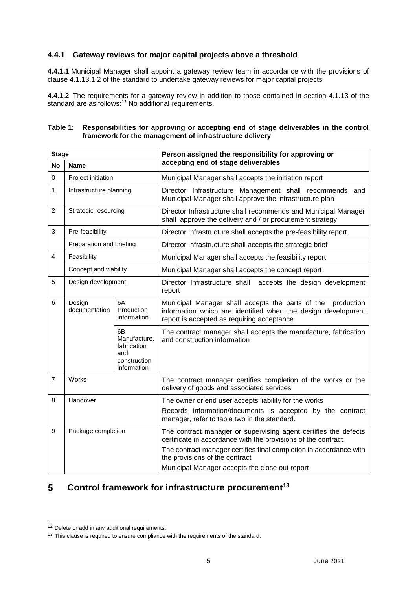## <span id="page-6-0"></span>**4.4.1 Gateway reviews for major capital projects above a threshold**

**4.4.1.1** Municipal Manager shall appoint a gateway review team in accordance with the provisions of clause 4.1.13.1.2 of the standard to undertake gateway reviews for major capital projects.

**4.4.1.2** The requirements for a gateway review in addition to those contained in section 4.1.13 of the standard are as follows:**<sup>12</sup>** No additional requirements.

| <b>Stage</b>   |                                                            |                                                                         | Person assigned the responsibility for approving or<br>accepting end of stage deliverables                                                                                                                                                                                                 |  |
|----------------|------------------------------------------------------------|-------------------------------------------------------------------------|--------------------------------------------------------------------------------------------------------------------------------------------------------------------------------------------------------------------------------------------------------------------------------------------|--|
| <b>No</b>      | Name                                                       |                                                                         |                                                                                                                                                                                                                                                                                            |  |
| $\mathsf 0$    | Project initiation                                         |                                                                         | Municipal Manager shall accepts the initiation report                                                                                                                                                                                                                                      |  |
| 1              | Infrastructure planning                                    |                                                                         | Director Infrastructure Management shall recommends and<br>Municipal Manager shall approve the infrastructure plan                                                                                                                                                                         |  |
| $\overline{c}$ | Strategic resourcing                                       |                                                                         | Director Infrastructure shall recommends and Municipal Manager<br>shall approve the delivery and / or procurement strategy                                                                                                                                                                 |  |
| 3              | Pre-feasibility                                            |                                                                         | Director Infrastructure shall accepts the pre-feasibility report                                                                                                                                                                                                                           |  |
|                | Preparation and briefing                                   |                                                                         | Director Infrastructure shall accepts the strategic brief                                                                                                                                                                                                                                  |  |
| 4              | Feasibility                                                |                                                                         | Municipal Manager shall accepts the feasibility report                                                                                                                                                                                                                                     |  |
|                | Concept and viability                                      |                                                                         | Municipal Manager shall accepts the concept report                                                                                                                                                                                                                                         |  |
| 5              | Design development                                         |                                                                         | Director Infrastructure shall accepts the design development<br>report                                                                                                                                                                                                                     |  |
| 6              | 6A<br>Design<br>documentation<br>Production<br>information |                                                                         | Municipal Manager shall accepts the parts of the<br>production<br>information which are identified when the design development<br>report is accepted as requiring acceptance                                                                                                               |  |
|                |                                                            | 6B<br>Manufacture.<br>fabrication<br>and<br>construction<br>information | The contract manager shall accepts the manufacture, fabrication<br>and construction information                                                                                                                                                                                            |  |
| $\overline{7}$ | Works                                                      |                                                                         | The contract manager certifies completion of the works or the<br>delivery of goods and associated services                                                                                                                                                                                 |  |
| 8              | Handover                                                   |                                                                         | The owner or end user accepts liability for the works<br>Records information/documents is accepted by the contract<br>manager, refer to table two in the standard.                                                                                                                         |  |
| 9              | Package completion                                         |                                                                         | The contract manager or supervising agent certifies the defects<br>certificate in accordance with the provisions of the contract<br>The contract manager certifies final completion in accordance with<br>the provisions of the contract<br>Municipal Manager accepts the close out report |  |

#### **Table 1: Responsibilities for approving or accepting end of stage deliverables in the control framework for the management of infrastructure delivery**

#### <span id="page-6-1"></span>**Control framework for infrastructure procurement<sup>13</sup>** 5

<sup>&</sup>lt;sup>12</sup> Delete or add in any additional requirements.

 $13$  This clause is required to ensure compliance with the requirements of the standard.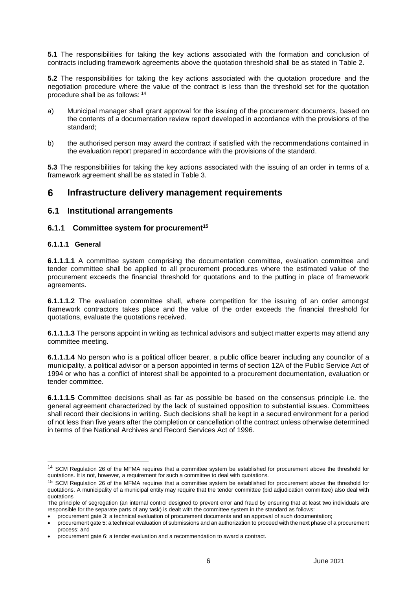**5.1** The responsibilities for taking the key actions associated with the formation and conclusion of contracts including framework agreements above the quotation threshold shall be as stated in Table 2.

**5.2** The responsibilities for taking the key actions associated with the quotation procedure and the negotiation procedure where the value of the contract is less than the threshold set for the quotation procedure shall be as follows: <sup>14</sup>

- a) Municipal manager shall grant approval for the issuing of the procurement documents, based on the contents of a documentation review report developed in accordance with the provisions of the standard;
- b) the authorised person may award the contract if satisfied with the recommendations contained in the evaluation report prepared in accordance with the provisions of the standard.

**5.3** The responsibilities for taking the key actions associated with the issuing of an order in terms of a framework agreement shall be as stated in Table 3.

#### <span id="page-7-0"></span>6 **Infrastructure delivery management requirements**

## <span id="page-7-1"></span>**6.1 Institutional arrangements**

### <span id="page-7-2"></span>**6.1.1 Committee system for procurement<sup>15</sup>**

#### **6.1.1.1 General**

l

**6.1.1.1.1** A committee system comprising the documentation committee, evaluation committee and tender committee shall be applied to all procurement procedures where the estimated value of the procurement exceeds the financial threshold for quotations and to the putting in place of framework agreements.

**6.1.1.1.2** The evaluation committee shall, where competition for the issuing of an order amongst framework contractors takes place and the value of the order exceeds the financial threshold for quotations, evaluate the quotations received.

**6.1.1.1.3** The persons appoint in writing as technical advisors and subject matter experts may attend any committee meeting.

**6.1.1.1.4** No person who is a political officer bearer, a public office bearer including any councilor of a municipality, a political advisor or a person appointed in terms of section 12A of the Public Service Act of 1994 or who has a conflict of interest shall be appointed to a procurement documentation, evaluation or tender committee.

**6.1.1.1.5** Committee decisions shall as far as possible be based on the consensus principle i.e. the general agreement characterized by the lack of sustained opposition to substantial issues. Committees shall record their decisions in writing. Such decisions shall be kept in a secured environment for a period of not less than five years after the completion or cancellation of the contract unless otherwise determined in terms of the National Archives and Record Services Act of 1996.

<sup>&</sup>lt;sup>14</sup> SCM Regulation 26 of the MFMA requires that a committee system be established for procurement above the threshold for quotations. It is not, however, a requirement for such a committee to deal with quotations.

<sup>&</sup>lt;sup>15</sup> SCM Regulation 26 of the MFMA requires that a committee system be established for procurement above the threshold for quotations. A municipality of a municipal entity may require that the tender committee (bid adjudication committee) also deal with quotations

The principle of segregation (an internal control designed to prevent error and fraud by ensuring that at least two individuals are responsible for the separate parts of any task) is dealt with the committee system in the standard as follows:

procurement gate 3: a technical evaluation of procurement documents and an approval of such documentation;

procurement gate 5: a technical evaluation of submissions and an authorization to proceed with the next phase of a procurement process; and

procurement gate 6: a tender evaluation and a recommendation to award a contract.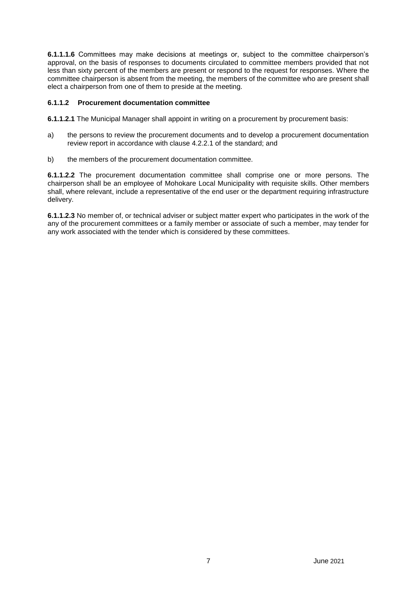**6.1.1.1.6** Committees may make decisions at meetings or, subject to the committee chairperson's approval, on the basis of responses to documents circulated to committee members provided that not less than sixty percent of the members are present or respond to the request for responses. Where the committee chairperson is absent from the meeting, the members of the committee who are present shall elect a chairperson from one of them to preside at the meeting.

### **6.1.1.2 Procurement documentation committee**

**6.1.1.2.1** The Municipal Manager shall appoint in writing on a procurement by procurement basis:

- a) the persons to review the procurement documents and to develop a procurement documentation review report in accordance with clause 4.2.2.1 of the standard; and
- b) the members of the procurement documentation committee.

**6.1.1.2.2** The procurement documentation committee shall comprise one or more persons. The chairperson shall be an employee of Mohokare Local Municipality with requisite skills. Other members shall, where relevant, include a representative of the end user or the department requiring infrastructure delivery.

**6.1.1.2.3** No member of, or technical adviser or subject matter expert who participates in the work of the any of the procurement committees or a family member or associate of such a member, may tender for any work associated with the tender which is considered by these committees.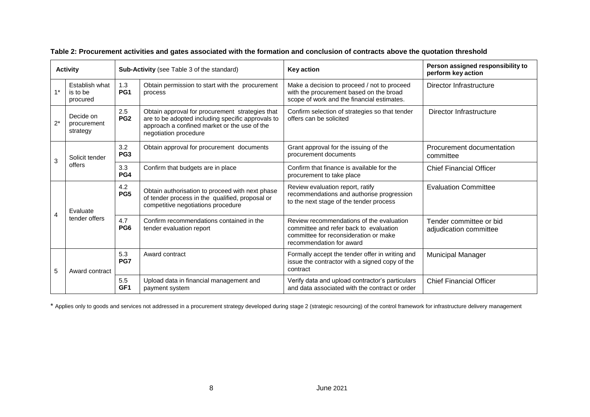| <b>Activity</b> |                                                                | <b>Sub-Activity</b> (see Table 3 of the standard)                   |                                                                                                                                                                               | <b>Key action</b>                                                                                                                                       | Person assigned responsibility to<br>perform key action |
|-----------------|----------------------------------------------------------------|---------------------------------------------------------------------|-------------------------------------------------------------------------------------------------------------------------------------------------------------------------------|---------------------------------------------------------------------------------------------------------------------------------------------------------|---------------------------------------------------------|
| $1^*$           | Establish what<br>is to be<br>procured                         | 1.3<br>PG <sub>1</sub>                                              | Obtain permission to start with the procurement<br>process                                                                                                                    | Make a decision to proceed / not to proceed<br>with the procurement based on the broad<br>scope of work and the financial estimates.                    | Director Infrastructure                                 |
| $2^*$           | 2.5<br>Decide on<br>PG <sub>2</sub><br>procurement<br>strategy |                                                                     | Obtain approval for procurement strategies that<br>are to be adopted including specific approvals to<br>approach a confined market or the use of the<br>negotiation procedure | Confirm selection of strategies so that tender<br>offers can be solicited                                                                               | Director Infrastructure                                 |
| 3               | Solicit tender<br>offers                                       | 3.2<br>Obtain approval for procurement documents<br>PG <sub>3</sub> |                                                                                                                                                                               | Grant approval for the issuing of the<br>procurement documents                                                                                          | Procurement documentation<br>committee                  |
|                 |                                                                | 3.3<br>PG4                                                          | Confirm that budgets are in place                                                                                                                                             | Confirm that finance is available for the<br>procurement to take place                                                                                  | <b>Chief Financial Officer</b>                          |
| $\overline{4}$  | Evaluate<br>tender offers                                      | 4.2<br>PG5                                                          | Obtain authorisation to proceed with next phase<br>of tender process in the qualified, proposal or<br>competitive negotiations procedure                                      | Review evaluation report, ratify<br>recommendations and authorise progression<br>to the next stage of the tender process                                | <b>Evaluation Committee</b>                             |
|                 |                                                                | 4.7<br>PG <sub>6</sub>                                              | Confirm recommendations contained in the<br>tender evaluation report                                                                                                          | Review recommendations of the evaluation<br>committee and refer back to evaluation<br>committee for reconsideration or make<br>recommendation for award | Tender committee or bid<br>adjudication committee       |
| 5               | Award contract                                                 | 5.3<br>PG7                                                          | Award contract                                                                                                                                                                | Formally accept the tender offer in writing and<br>issue the contractor with a signed copy of the<br>contract                                           | <b>Municipal Manager</b>                                |
|                 |                                                                | 5.5<br>GF <sub>1</sub>                                              | Upload data in financial management and<br>payment system                                                                                                                     | Verify data and upload contractor's particulars<br>and data associated with the contract or order                                                       | <b>Chief Financial Officer</b>                          |

**Table 2: Procurement activities and gates associated with the formation and conclusion of contracts above the quotation threshold**

\* Applies only to goods and services not addressed in a procurement strategy developed during stage 2 (strategic resourcing) of the control framework for infrastructure delivery management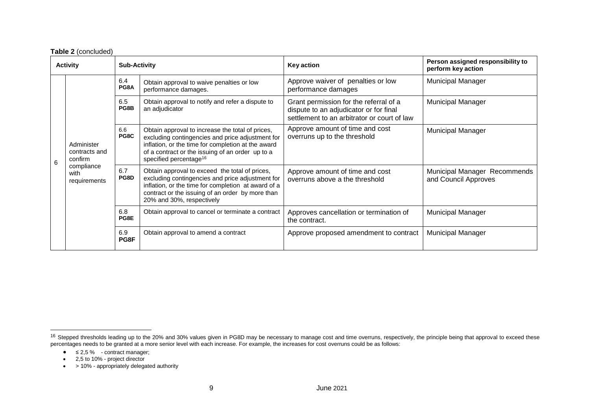|                 | Table 2 (concluded)                                                          |                     |                                                                                                                                                                                                                                                      |                                                                                                                                 |                                                         |
|-----------------|------------------------------------------------------------------------------|---------------------|------------------------------------------------------------------------------------------------------------------------------------------------------------------------------------------------------------------------------------------------------|---------------------------------------------------------------------------------------------------------------------------------|---------------------------------------------------------|
| <b>Activity</b> |                                                                              | <b>Sub-Activity</b> |                                                                                                                                                                                                                                                      | <b>Key action</b>                                                                                                               | Person assigned responsibility to<br>perform key action |
| 6               | Administer<br>contracts and<br>confirm<br>compliance<br>with<br>requirements | 6.4<br>PG8A         | Obtain approval to waive penalties or low<br>performance damages.                                                                                                                                                                                    | Approve waiver of penalties or low<br>performance damages                                                                       | <b>Municipal Manager</b>                                |
|                 |                                                                              | 6.5<br>PG8B         | Obtain approval to notify and refer a dispute to<br>an adjudicator                                                                                                                                                                                   | Grant permission for the referral of a<br>dispute to an adjudicator or for final<br>settlement to an arbitrator or court of law | <b>Municipal Manager</b>                                |
|                 |                                                                              | 6.6<br>PG8C         | Obtain approval to increase the total of prices,<br>excluding contingencies and price adjustment for<br>inflation, or the time for completion at the award<br>of a contract or the issuing of an order up to a<br>specified percentage <sup>16</sup> | Approve amount of time and cost<br>overruns up to the threshold                                                                 | <b>Municipal Manager</b>                                |
|                 |                                                                              | 6.7<br>PG8D         | Obtain approval to exceed the total of prices,<br>excluding contingencies and price adjustment for<br>inflation, or the time for completion at award of a<br>contract or the issuing of an order by more than<br>20% and 30%, respectively           | Approve amount of time and cost<br>overruns above a the threshold                                                               | Municipal Manager Recommends<br>and Council Approves    |
|                 |                                                                              | 6.8<br>PG8E         | Obtain approval to cancel or terminate a contract                                                                                                                                                                                                    | Approves cancellation or termination of<br>the contract.                                                                        | <b>Municipal Manager</b>                                |
|                 |                                                                              | 6.9<br>PG8F         | Obtain approval to amend a contract                                                                                                                                                                                                                  | Approve proposed amendment to contract                                                                                          | <b>Municipal Manager</b>                                |

-

 $\bullet$  > 10% - appropriately delegated authority

<sup>&</sup>lt;sup>16</sup> Stepped thresholds leading up to the 20% and 30% values given in PG8D may be necessary to manage cost and time overruns, respectively, the principle being that approval to exceed these percentages needs to be granted at a more senior level with each increase. For example, the increases for cost overruns could be as follows:

 $\bullet$   $\leq$  2,5 % - contract manager;

 $\bullet$  2,5 to 10% - project director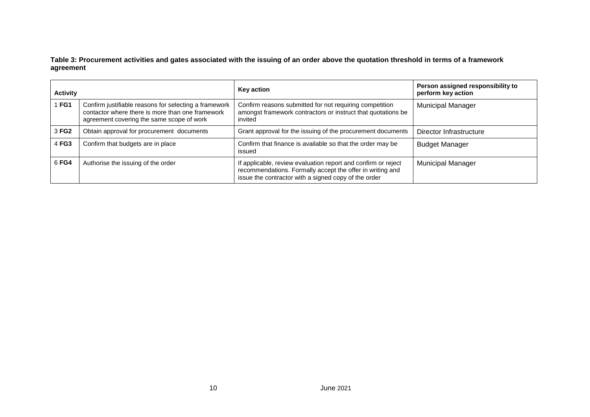**Table 3: Procurement activities and gates associated with the issuing of an order above the quotation threshold in terms of a framework agreement**

| <b>Activity</b> |                                                                                                                                                        | <b>Key action</b>                                                                                                                                                                  | Person assigned responsibility to<br>perform key action |
|-----------------|--------------------------------------------------------------------------------------------------------------------------------------------------------|------------------------------------------------------------------------------------------------------------------------------------------------------------------------------------|---------------------------------------------------------|
| FG1             | Confirm justifiable reasons for selecting a framework<br>contactor where there is more than one framework<br>agreement covering the same scope of work | Confirm reasons submitted for not requiring competition<br>amongst framework contractors or instruct that quotations be<br>invited                                                 | <b>Municipal Manager</b>                                |
| 3 FG2           | Obtain approval for procurement documents                                                                                                              | Grant approval for the issuing of the procurement documents                                                                                                                        | Director Infrastructure                                 |
| 4 FG3           | Confirm that budgets are in place                                                                                                                      | Confirm that finance is available so that the order may be<br>issued                                                                                                               | <b>Budget Manager</b>                                   |
| 6 FG4           | Authorise the issuing of the order                                                                                                                     | If applicable, review evaluation report and confirm or reject<br>recommendations. Formally accept the offer in writing and<br>issue the contractor with a signed copy of the order | <b>Municipal Manager</b>                                |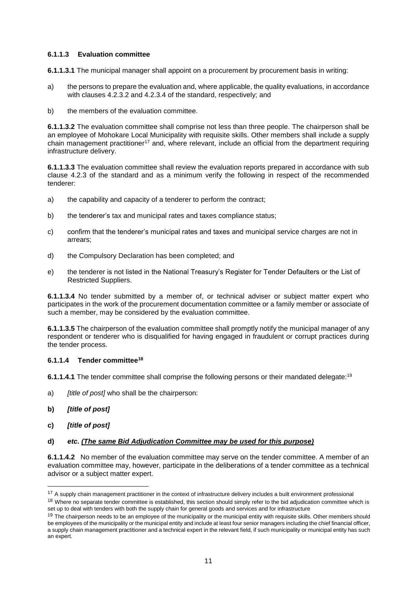### **6.1.1.3 Evaluation committee**

**6.1.1.3.1** The municipal manager shall appoint on a procurement by procurement basis in writing:

- a) the persons to prepare the evaluation and, where applicable, the quality evaluations, in accordance with clauses 4.2.3.2 and 4.2.3.4 of the standard, respectively; and
- b) the members of the evaluation committee.

**6.1.1.3.2** The evaluation committee shall comprise not less than three people. The chairperson shall be an employee of Mohokare Local Municipality with requisite skills. Other members shall include a supply chain management practitioner<sup>17</sup> and, where relevant, include an official from the department requiring infrastructure delivery.

**6.1.1.3.3** The evaluation committee shall review the evaluation reports prepared in accordance with sub clause 4.2.3 of the standard and as a minimum verify the following in respect of the recommended tenderer:

- a) the capability and capacity of a tenderer to perform the contract;
- b) the tenderer's tax and municipal rates and taxes compliance status;
- c) confirm that the tenderer's municipal rates and taxes and municipal service charges are not in arrears;
- d) the Compulsory Declaration has been completed; and
- e) the tenderer is not listed in the National Treasury's Register for Tender Defaulters or the List of Restricted Suppliers.

**6.1.1.3.4** No tender submitted by a member of, or technical adviser or subject matter expert who participates in the work of the procurement documentation committee or a family member or associate of such a member, may be considered by the evaluation committee.

**6.1.1.3.5** The chairperson of the evaluation committee shall promptly notify the municipal manager of any respondent or tenderer who is disqualified for having engaged in fraudulent or corrupt practices during the tender process.

### **6.1.1.4 Tender committee<sup>18</sup>**

**6.1.1.4.1** The tender committee shall comprise the following persons or their mandated delegate:<sup>19</sup>

- a) *[title of post]* who shall be the chairperson:
- **b)** *[title of post]*
- **c)** *[title of post]*

l

### **d)** *etc. (The same Bid Adjudication Committee may be used for this purpose)*

**6.1.1.4.2** No member of the evaluation committee may serve on the tender committee. A member of an evaluation committee may, however, participate in the deliberations of a tender committee as a technical advisor or a subject matter expert.

<sup>&</sup>lt;sup>17</sup> A supply chain management practitioner in the context of infrastructure delivery includes a built environment professional

<sup>&</sup>lt;sup>18</sup> Where no separate tender committee is established, this section should simply refer to the bid adjudication committee which is set up to deal with tenders with both the supply chain for general goods and services and for infrastructure

<sup>&</sup>lt;sup>19</sup> The chairperson needs to be an employee of the municipality or the municipal entity with requisite skills. Other members should be employees of the municipality or the municipal entity and include at least four senior managers including the chief financial officer, a supply chain management practitioner and a technical expert in the relevant field, if such municipality or municipal entity has such an expert.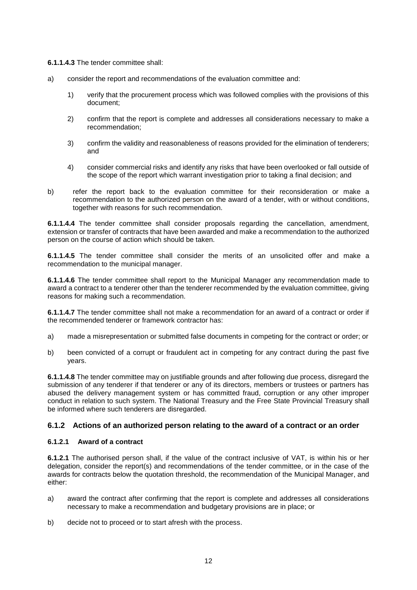**6.1.1.4.3** The tender committee shall:

- a) consider the report and recommendations of the evaluation committee and:
	- 1) verify that the procurement process which was followed complies with the provisions of this document;
	- 2) confirm that the report is complete and addresses all considerations necessary to make a recommendation;
	- 3) confirm the validity and reasonableness of reasons provided for the elimination of tenderers; and
	- 4) consider commercial risks and identify any risks that have been overlooked or fall outside of the scope of the report which warrant investigation prior to taking a final decision; and
- b) refer the report back to the evaluation committee for their reconsideration or make a recommendation to the authorized person on the award of a tender, with or without conditions, together with reasons for such recommendation.

**6.1.1.4.4** The tender committee shall consider proposals regarding the cancellation, amendment, extension or transfer of contracts that have been awarded and make a recommendation to the authorized person on the course of action which should be taken.

**6.1.1.4.5** The tender committee shall consider the merits of an unsolicited offer and make a recommendation to the municipal manager.

**6.1.1.4.6** The tender committee shall report to the Municipal Manager any recommendation made to award a contract to a tenderer other than the tenderer recommended by the evaluation committee, giving reasons for making such a recommendation.

**6.1.1.4.7** The tender committee shall not make a recommendation for an award of a contract or order if the recommended tenderer or framework contractor has:

- a) made a misrepresentation or submitted false documents in competing for the contract or order; or
- b) been convicted of a corrupt or fraudulent act in competing for any contract during the past five years.

**6.1.1.4.8** The tender committee may on justifiable grounds and after following due process, disregard the submission of any tenderer if that tenderer or any of its directors, members or trustees or partners has abused the delivery management system or has committed fraud, corruption or any other improper conduct in relation to such system. The National Treasury and the Free State Provincial Treasury shall be informed where such tenderers are disregarded.

### <span id="page-13-0"></span>**6.1.2 Actions of an authorized person relating to the award of a contract or an order**

## **6.1.2.1 Award of a contract**

**6.1.2.1** The authorised person shall, if the value of the contract inclusive of VAT, is within his or her delegation, consider the report(s) and recommendations of the tender committee, or in the case of the awards for contracts below the quotation threshold, the recommendation of the Municipal Manager, and either:

- a) award the contract after confirming that the report is complete and addresses all considerations necessary to make a recommendation and budgetary provisions are in place; or
- b) decide not to proceed or to start afresh with the process.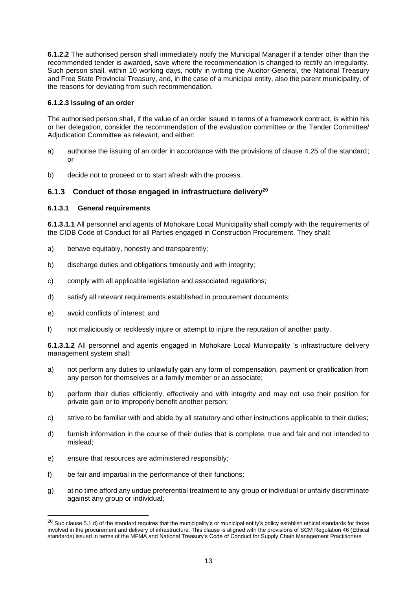**6.1.2.2** The authorised person shall immediately notify the Municipal Manager if a tender other than the recommended tender is awarded, save where the recommendation is changed to rectify an irregularity. Such person shall, within 10 working days, notify in writing the Auditor-General, the National Treasury and Free State Provincial Treasury, and, in the case of a municipal entity, also the parent municipality, of the reasons for deviating from such recommendation.

### **6.1.2.3 Issuing of an order**

The authorised person shall, if the value of an order issued in terms of a framework contract, is within his or her delegation, consider the recommendation of the evaluation committee or the Tender Committee/ Adjudication Committee as relevant, and either:

- a) authorise the issuing of an order in accordance with the provisions of clause 4.25 of the standard; or
- b) decide not to proceed or to start afresh with the process.

### <span id="page-14-0"></span>**6.1.3 Conduct of those engaged in infrastructure delivery<sup>20</sup>**

#### **6.1.3.1 General requirements**

**6.1.3.1.1** All personnel and agents of Mohokare Local Municipality shall comply with the requirements of the CIDB Code of Conduct for all Parties engaged in Construction Procurement. They shall:

- a) behave equitably, honestly and transparently;
- b) discharge duties and obligations timeously and with integrity;
- c) comply with all applicable legislation and associated regulations;
- d) satisfy all relevant requirements established in procurement documents;
- e) avoid conflicts of interest; and

l

f) not maliciously or recklessly injure or attempt to injure the reputation of another party.

**6.1.3.1.2** All personnel and agents engaged in Mohokare Local Municipality 's infrastructure delivery management system shall:

- a) not perform any duties to unlawfully gain any form of compensation, payment or gratification from any person for themselves or a family member or an associate;
- b) perform their duties efficiently, effectively and with integrity and may not use their position for private gain or to improperly benefit another person;
- c) strive to be familiar with and abide by all statutory and other instructions applicable to their duties;
- d) furnish information in the course of their duties that is complete, true and fair and not intended to mislead;
- e) ensure that resources are administered responsibly;
- f) be fair and impartial in the performance of their functions;
- g) at no time afford any undue preferential treatment to any group or individual or unfairly discriminate against any group or individual;

 $20$  Sub clause 5.1 d) of the standard requires that the municipality's or municipal entity's policy establish ethical standards for those involved in the procurement and delivery of infrastructure. This clause is aligned with the provisions of SCM Regulation 46 (Ethical standards) issued in terms of the MFMA and National Treasury's Code of Conduct for Supply Chain Management Practitioners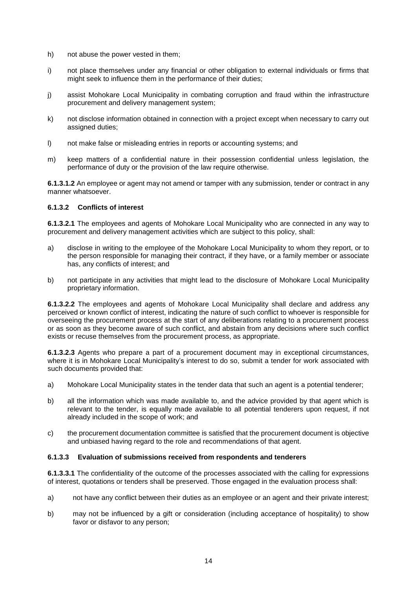- h) not abuse the power vested in them;
- i) not place themselves under any financial or other obligation to external individuals or firms that might seek to influence them in the performance of their duties;
- j) assist Mohokare Local Municipality in combating corruption and fraud within the infrastructure procurement and delivery management system;
- k) not disclose information obtained in connection with a project except when necessary to carry out assigned duties;
- l) not make false or misleading entries in reports or accounting systems; and
- m) keep matters of a confidential nature in their possession confidential unless legislation, the performance of duty or the provision of the law require otherwise.

**6.1.3.1.2** An employee or agent may not amend or tamper with any submission, tender or contract in any manner whatsoever.

#### **6.1.3.2 Conflicts of interest**

**6.1.3.2.1** The employees and agents of Mohokare Local Municipality who are connected in any way to procurement and delivery management activities which are subject to this policy, shall:

- a) disclose in writing to the employee of the Mohokare Local Municipality to whom they report, or to the person responsible for managing their contract, if they have, or a family member or associate has, any conflicts of interest; and
- b) not participate in any activities that might lead to the disclosure of Mohokare Local Municipality proprietary information.

**6.1.3.2.2** The employees and agents of Mohokare Local Municipality shall declare and address any perceived or known conflict of interest, indicating the nature of such conflict to whoever is responsible for overseeing the procurement process at the start of any deliberations relating to a procurement process or as soon as they become aware of such conflict, and abstain from any decisions where such conflict exists or recuse themselves from the procurement process, as appropriate.

**6.1.3.2.3** Agents who prepare a part of a procurement document may in exceptional circumstances, where it is in Mohokare Local Municipality's interest to do so, submit a tender for work associated with such documents provided that:

- a) Mohokare Local Municipality states in the tender data that such an agent is a potential tenderer;
- b) all the information which was made available to, and the advice provided by that agent which is relevant to the tender, is equally made available to all potential tenderers upon request, if not already included in the scope of work; and
- c) the procurement documentation committee is satisfied that the procurement document is objective and unbiased having regard to the role and recommendations of that agent.

#### **6.1.3.3 Evaluation of submissions received from respondents and tenderers**

**6.1.3.3.1** The confidentiality of the outcome of the processes associated with the calling for expressions of interest, quotations or tenders shall be preserved. Those engaged in the evaluation process shall:

- a) not have any conflict between their duties as an employee or an agent and their private interest;
- b) may not be influenced by a gift or consideration (including acceptance of hospitality) to show favor or disfavor to any person;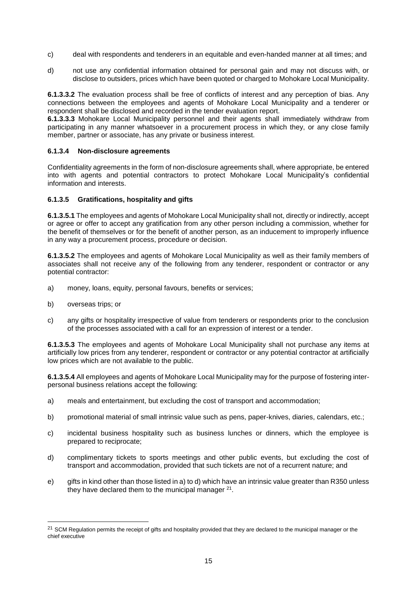- c) deal with respondents and tenderers in an equitable and even-handed manner at all times; and
- d) not use any confidential information obtained for personal gain and may not discuss with, or disclose to outsiders, prices which have been quoted or charged to Mohokare Local Municipality.

**6.1.3.3.2** The evaluation process shall be free of conflicts of interest and any perception of bias. Any connections between the employees and agents of Mohokare Local Municipality and a tenderer or respondent shall be disclosed and recorded in the tender evaluation report.

**6.1.3.3.3** Mohokare Local Municipality personnel and their agents shall immediately withdraw from participating in any manner whatsoever in a procurement process in which they, or any close family member, partner or associate, has any private or business interest.

#### **6.1.3.4 Non-disclosure agreements**

Confidentiality agreements in the form of non-disclosure agreements shall, where appropriate, be entered into with agents and potential contractors to protect Mohokare Local Municipality's confidential information and interests.

#### **6.1.3.5 Gratifications, hospitality and gifts**

**6.1.3.5.1** The employees and agents of Mohokare Local Municipality shall not, directly or indirectly, accept or agree or offer to accept any gratification from any other person including a commission, whether for the benefit of themselves or for the benefit of another person, as an inducement to improperly influence in any way a procurement process, procedure or decision.

**6.1.3.5.2** The employees and agents of Mohokare Local Municipality as well as their family members of associates shall not receive any of the following from any tenderer, respondent or contractor or any potential contractor:

- a) money, loans, equity, personal favours, benefits or services;
- b) overseas trips; or

l

c) any gifts or hospitality irrespective of value from tenderers or respondents prior to the conclusion of the processes associated with a call for an expression of interest or a tender.

**6.1.3.5.3** The employees and agents of Mohokare Local Municipality shall not purchase any items at artificially low prices from any tenderer, respondent or contractor or any potential contractor at artificially low prices which are not available to the public.

**6.1.3.5.4** All employees and agents of Mohokare Local Municipality may for the purpose of fostering interpersonal business relations accept the following:

- a) meals and entertainment, but excluding the cost of transport and accommodation;
- b) promotional material of small intrinsic value such as pens, paper-knives, diaries, calendars, etc.;
- c) incidental business hospitality such as business lunches or dinners, which the employee is prepared to reciprocate;
- d) complimentary tickets to sports meetings and other public events, but excluding the cost of transport and accommodation, provided that such tickets are not of a recurrent nature; and
- e) gifts in kind other than those listed in a) to d) which have an intrinsic value greater than R350 unless they have declared them to the municipal manager  $21$ .

<sup>&</sup>lt;sup>21</sup> SCM Regulation permits the receipt of gifts and hospitality provided that they are declared to the municipal manager or the chief executive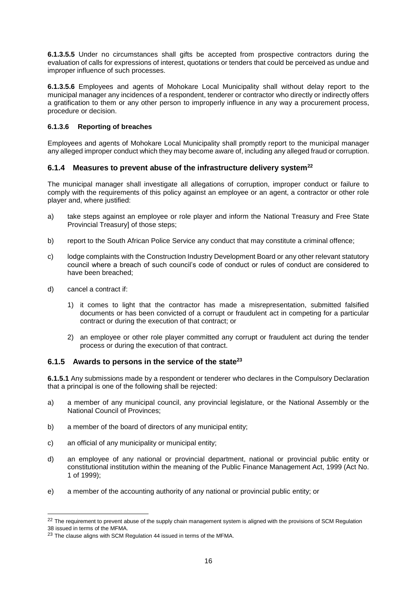**6.1.3.5.5** Under no circumstances shall gifts be accepted from prospective contractors during the evaluation of calls for expressions of interest, quotations or tenders that could be perceived as undue and improper influence of such processes.

**6.1.3.5.6** Employees and agents of Mohokare Local Municipality shall without delay report to the municipal manager any incidences of a respondent, tenderer or contractor who directly or indirectly offers a gratification to them or any other person to improperly influence in any way a procurement process, procedure or decision.

### **6.1.3.6 Reporting of breaches**

Employees and agents of Mohokare Local Municipality shall promptly report to the municipal manager any alleged improper conduct which they may become aware of, including any alleged fraud or corruption.

## <span id="page-17-0"></span>**6.1.4 Measures to prevent abuse of the infrastructure delivery system<sup>22</sup>**

The municipal manager shall investigate all allegations of corruption, improper conduct or failure to comply with the requirements of this policy against an employee or an agent, a contractor or other role player and, where justified:

- a) take steps against an employee or role player and inform the National Treasury and Free State Provincial Treasury] of those steps;
- b) report to the South African Police Service any conduct that may constitute a criminal offence;
- c) lodge complaints with the Construction Industry Development Board or any other relevant statutory council where a breach of such council's code of conduct or rules of conduct are considered to have been breached;
- d) cancel a contract if:

l

- 1) it comes to light that the contractor has made a misrepresentation, submitted falsified documents or has been convicted of a corrupt or fraudulent act in competing for a particular contract or during the execution of that contract; or
- 2) an employee or other role player committed any corrupt or fraudulent act during the tender process or during the execution of that contract.

## <span id="page-17-1"></span>**6.1.5 Awards to persons in the service of the state<sup>23</sup>**

**6.1.5.1** Any submissions made by a respondent or tenderer who declares in the Compulsory Declaration that a principal is one of the following shall be rejected:

- a) a member of any municipal council, any provincial legislature, or the National Assembly or the National Council of Provinces;
- b) a member of the board of directors of any municipal entity;
- c) an official of any municipality or municipal entity;
- d) an employee of any national or provincial department, national or provincial public entity or constitutional institution within the meaning of the Public Finance Management Act, 1999 (Act No. 1 of 1999);
- e) a member of the accounting authority of any national or provincial public entity; or

<sup>&</sup>lt;sup>22</sup> The requirement to prevent abuse of the supply chain management system is aligned with the provisions of SCM Regulation 38 issued in terms of the MFMA.

<sup>&</sup>lt;sup>23</sup> The clause aligns with SCM Regulation 44 issued in terms of the MFMA.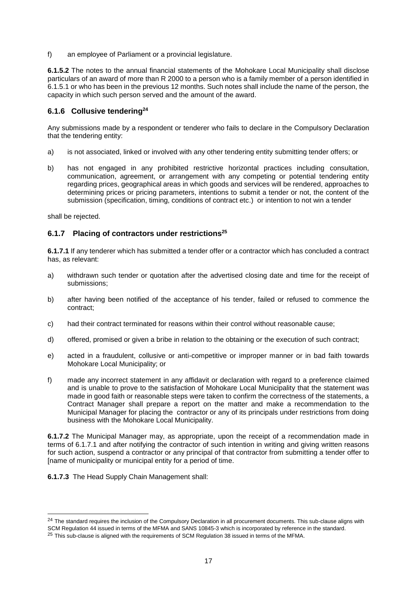f) an employee of Parliament or a provincial legislature.

**6.1.5.2** The notes to the annual financial statements of the Mohokare Local Municipality shall disclose particulars of an award of more than R 2000 to a person who is a family member of a person identified in 6.1.5.1 or who has been in the previous 12 months. Such notes shall include the name of the person, the capacity in which such person served and the amount of the award.

## <span id="page-18-0"></span>**6.1.6 Collusive tendering<sup>24</sup>**

Any submissions made by a respondent or tenderer who fails to declare in the Compulsory Declaration that the tendering entity:

- a) is not associated, linked or involved with any other tendering entity submitting tender offers; or
- b) has not engaged in any prohibited restrictive horizontal practices including consultation, communication, agreement, or arrangement with any competing or potential tendering entity regarding prices, geographical areas in which goods and services will be rendered, approaches to determining prices or pricing parameters, intentions to submit a tender or not, the content of the submission (specification, timing, conditions of contract etc.) or intention to not win a tender

shall be rejected.

l

### <span id="page-18-1"></span>**6.1.7 Placing of contractors under restrictions<sup>25</sup>**

**6.1.7.1** If any tenderer which has submitted a tender offer or a contractor which has concluded a contract has, as relevant:

- a) withdrawn such tender or quotation after the advertised closing date and time for the receipt of submissions;
- b) after having been notified of the acceptance of his tender, failed or refused to commence the contract;
- c) had their contract terminated for reasons within their control without reasonable cause;
- d) offered, promised or given a bribe in relation to the obtaining or the execution of such contract;
- e) acted in a fraudulent, collusive or anti-competitive or improper manner or in bad faith towards Mohokare Local Municipality; or
- f) made any incorrect statement in any affidavit or declaration with regard to a preference claimed and is unable to prove to the satisfaction of Mohokare Local Municipality that the statement was made in good faith or reasonable steps were taken to confirm the correctness of the statements, a Contract Manager shall prepare a report on the matter and make a recommendation to the Municipal Manager for placing the contractor or any of its principals under restrictions from doing business with the Mohokare Local Municipality.

**6.1.7.2** The Municipal Manager may, as appropriate, upon the receipt of a recommendation made in terms of 6.1.7.1 and after notifying the contractor of such intention in writing and giving written reasons for such action, suspend a contractor or any principal of that contractor from submitting a tender offer to [name of municipality or municipal entity for a period of time.

**6.1.7.3** The Head Supply Chain Management shall:

 $24$  The standard requires the inclusion of the Compulsory Declaration in all procurement documents. This sub-clause aligns with SCM Regulation 44 issued in terms of the MFMA and SANS 10845-3 which is incorporated by reference in the standard.

<sup>&</sup>lt;sup>25</sup> This sub-clause is aligned with the requirements of SCM Regulation 38 issued in terms of the MFMA.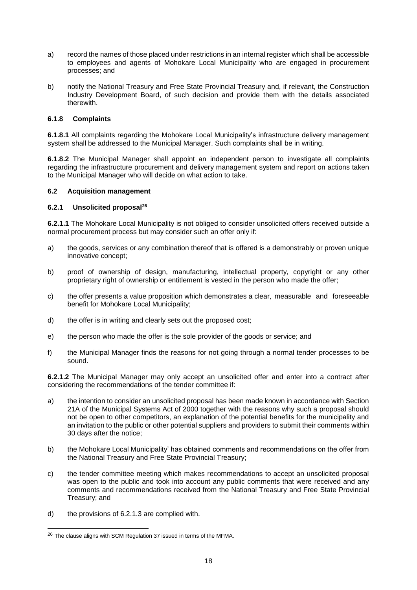- a) record the names of those placed under restrictions in an internal register which shall be accessible to employees and agents of Mohokare Local Municipality who are engaged in procurement processes; and
- b) notify the National Treasury and Free State Provincial Treasury and, if relevant, the Construction Industry Development Board, of such decision and provide them with the details associated therewith.

#### <span id="page-19-0"></span>**6.1.8 Complaints**

**6.1.8.1** All complaints regarding the Mohokare Local Municipality's infrastructure delivery management system shall be addressed to the Municipal Manager. Such complaints shall be in writing.

**6.1.8.2** The Municipal Manager shall appoint an independent person to investigate all complaints regarding the infrastructure procurement and delivery management system and report on actions taken to the Municipal Manager who will decide on what action to take.

#### <span id="page-19-1"></span>**6.2 Acquisition management**

#### <span id="page-19-2"></span>**6.2.1 Unsolicited proposal<sup>26</sup>**

**6.2.1.1** The Mohokare Local Municipality is not obliged to consider unsolicited offers received outside a normal procurement process but may consider such an offer only if:

- a) the goods, services or any combination thereof that is offered is a demonstrably or proven unique innovative concept;
- b) proof of ownership of design, manufacturing, intellectual property, copyright or any other proprietary right of ownership or entitlement is vested in the person who made the offer;
- c) the offer presents a value proposition which demonstrates a clear, measurable and foreseeable benefit for Mohokare Local Municipality;
- d) the offer is in writing and clearly sets out the proposed cost;
- e) the person who made the offer is the sole provider of the goods or service; and
- f) the Municipal Manager finds the reasons for not going through a normal tender processes to be sound.

**6.2.1.2** The Municipal Manager may only accept an unsolicited offer and enter into a contract after considering the recommendations of the tender committee if:

- a) the intention to consider an unsolicited proposal has been made known in accordance with Section 21A of the Municipal Systems Act of 2000 together with the reasons why such a proposal should not be open to other competitors, an explanation of the potential benefits for the municipality and an invitation to the public or other potential suppliers and providers to submit their comments within 30 days after the notice;
- b) the Mohokare Local Municipality' has obtained comments and recommendations on the offer from the National Treasury and Free State Provincial Treasury;
- c) the tender committee meeting which makes recommendations to accept an unsolicited proposal was open to the public and took into account any public comments that were received and any comments and recommendations received from the National Treasury and Free State Provincial Treasury; and
- d) the provisions of 6.2.1.3 are complied with.

<sup>&</sup>lt;sup>26</sup> The clause aligns with SCM Regulation 37 issued in terms of the MFMA.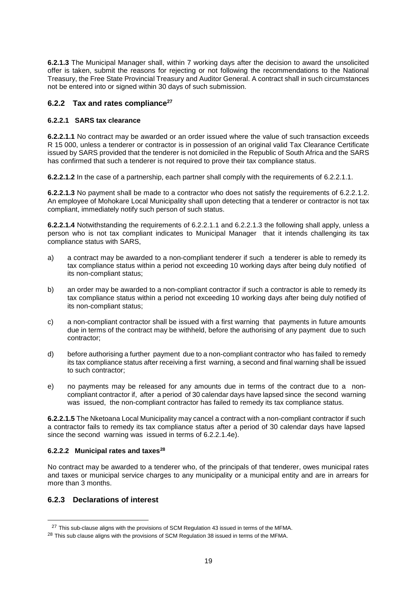**6.2.1.3** The Municipal Manager shall, within 7 working days after the decision to award the unsolicited offer is taken, submit the reasons for rejecting or not following the recommendations to the National Treasury, the Free State Provincial Treasury and Auditor General. A contract shall in such circumstances not be entered into or signed within 30 days of such submission.

## <span id="page-20-0"></span>**6.2.2 Tax and rates compliance<sup>27</sup>**

#### **6.2.2.1 SARS tax clearance**

**6.2.2.1.1** No contract may be awarded or an order issued where the value of such transaction exceeds R 15 000, unless a tenderer or contractor is in possession of an original valid Tax Clearance Certificate issued by SARS provided that the tenderer is not domiciled in the Republic of South Africa and the SARS has confirmed that such a tenderer is not required to prove their tax compliance status.

**6.2.2.1.2** In the case of a partnership, each partner shall comply with the requirements of 6.2.2.1.1.

**6.2.2.1.3** No payment shall be made to a contractor who does not satisfy the requirements of 6.2.2.1.2. An employee of Mohokare Local Municipality shall upon detecting that a tenderer or contractor is not tax compliant, immediately notify such person of such status.

**6.2.2.1.4** Notwithstanding the requirements of 6.2.2.1.1 and 6.2.2.1.3 the following shall apply, unless a person who is not tax compliant indicates to Municipal Manager that it intends challenging its tax compliance status with SARS,

- a) a contract may be awarded to a non-compliant tenderer if such a tenderer is able to remedy its tax compliance status within a period not exceeding 10 working days after being duly notified of its non-compliant status;
- b) an order may be awarded to a non-compliant contractor if such a contractor is able to remedy its tax compliance status within a period not exceeding 10 working days after being duly notified of its non-compliant status;
- c) a non-compliant contractor shall be issued with a first warning that payments in future amounts due in terms of the contract may be withheld, before the authorising of any payment due to such contractor;
- d) before authorising a further payment due to a non-compliant contractor who has failed to remedy its tax compliance status after receiving a first warning, a second and final warning shall be issued to such contractor;
- e) no payments may be released for any amounts due in terms of the contract due to a noncompliant contractor if, after a period of 30 calendar days have lapsed since the second warning was issued, the non-compliant contractor has failed to remedy its tax compliance status.

**6.2.2.1.5** The Nketoana Local Municipality may cancel a contract with a non-compliant contractor if such a contractor fails to remedy its tax compliance status after a period of 30 calendar days have lapsed since the second warning was issued in terms of 6.2.2.1.4e).

#### **6.2.2.2 Municipal rates and taxes<sup>28</sup>**

No contract may be awarded to a tenderer who, of the principals of that tenderer, owes municipal rates and taxes or municipal service charges to any municipality or a municipal entity and are in arrears for more than 3 months.

## <span id="page-20-1"></span>**6.2.3 Declarations of interest**

<sup>&</sup>lt;sup>27</sup> This sub-clause aligns with the provisions of SCM Regulation 43 issued in terms of the MFMA.

<sup>&</sup>lt;sup>28</sup> This sub clause aligns with the provisions of SCM Regulation 38 issued in terms of the MFMA.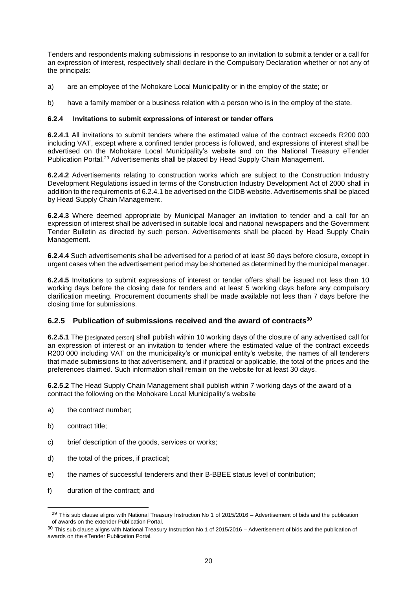Tenders and respondents making submissions in response to an invitation to submit a tender or a call for an expression of interest, respectively shall declare in the Compulsory Declaration whether or not any of the principals:

- a) are an employee of the Mohokare Local Municipality or in the employ of the state; or
- b) have a family member or a business relation with a person who is in the employ of the state.

#### <span id="page-21-0"></span>**6.2.4 Invitations to submit expressions of interest or tender offers**

**6.2.4.1** All invitations to submit tenders where the estimated value of the contract exceeds R200 000 including VAT, except where a confined tender process is followed, and expressions of interest shall be advertised on the Mohokare Local Municipality's website and on the National Treasury eTender Publication Portal.<sup>29</sup> Advertisements shall be placed by Head Supply Chain Management.

**6.2.4.2** Advertisements relating to construction works which are subject to the Construction Industry Development Regulations issued in terms of the Construction Industry Development Act of 2000 shall in addition to the requirements of 6.2.4.1 be advertised on the CIDB website. Advertisements shall be placed by Head Supply Chain Management.

**6.2.4.3** Where deemed appropriate by Municipal Manager an invitation to tender and a call for an expression of interest shall be advertised in suitable local and national newspapers and the Government Tender Bulletin as directed by such person. Advertisements shall be placed by Head Supply Chain Management.

**6.2.4.4** Such advertisements shall be advertised for a period of at least 30 days before closure, except in urgent cases when the advertisement period may be shortened as determined by the municipal manager.

**6.2.4.5** Invitations to submit expressions of interest or tender offers shall be issued not less than 10 working days before the closing date for tenders and at least 5 working days before any compulsory clarification meeting. Procurement documents shall be made available not less than 7 days before the closing time for submissions.

### <span id="page-21-1"></span>**6.2.5 Publication of submissions received and the award of contracts<sup>30</sup>**

**6.2.5.1** The [designated person] shall publish within 10 working days of the closure of any advertised call for an expression of interest or an invitation to tender where the estimated value of the contract exceeds R200 000 including VAT on the municipality's or municipal entity's website, the names of all tenderers that made submissions to that advertisement, and if practical or applicable, the total of the prices and the preferences claimed. Such information shall remain on the website for at least 30 days.

**6.2.5.2** The Head Supply Chain Management shall publish within 7 working days of the award of a contract the following on the Mohokare Local Municipality's website

- a) the contract number;
- b) contract title;

- c) brief description of the goods, services or works;
- d) the total of the prices, if practical;
- e) the names of successful tenderers and their B-BBEE status level of contribution;
- f) duration of the contract; and

 $29$  This sub clause aligns with National Treasury Instruction No 1 of 2015/2016 – Advertisement of bids and the publication of awards on the extender Publication Portal.

 $30$  This sub clause aligns with National Treasury Instruction No 1 of 2015/2016 – Advertisement of bids and the publication of awards on the eTender Publication Portal.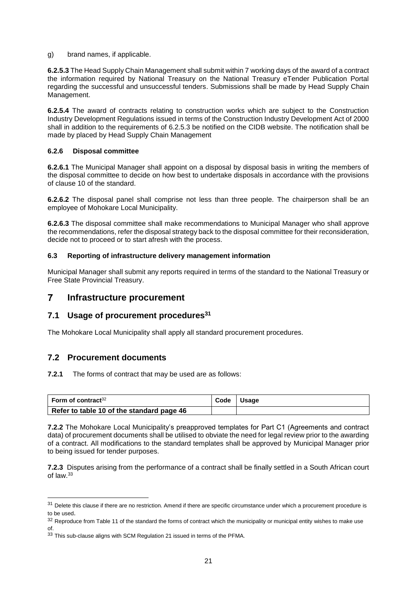g) brand names, if applicable.

**6.2.5.3** The Head Supply Chain Management shall submit within 7 working days of the award of a contract the information required by National Treasury on the National Treasury eTender Publication Portal regarding the successful and unsuccessful tenders. Submissions shall be made by Head Supply Chain Management.

**6.2.5.4** The award of contracts relating to construction works which are subject to the Construction Industry Development Regulations issued in terms of the Construction Industry Development Act of 2000 shall in addition to the requirements of 6.2.5.3 be notified on the CIDB website. The notification shall be made by placed by Head Supply Chain Management

#### <span id="page-22-0"></span>**6.2.6 Disposal committee**

**6.2.6.1** The Municipal Manager shall appoint on a disposal by disposal basis in writing the members of the disposal committee to decide on how best to undertake disposals in accordance with the provisions of clause 10 of the standard.

**6.2.6.2** The disposal panel shall comprise not less than three people. The chairperson shall be an employee of Mohokare Local Municipality.

**6.2.6.3** The disposal committee shall make recommendations to Municipal Manager who shall approve the recommendations, refer the disposal strategy back to the disposal committee for their reconsideration, decide not to proceed or to start afresh with the process.

#### <span id="page-22-1"></span>**6.3 Reporting of infrastructure delivery management information**

Municipal Manager shall submit any reports required in terms of the standard to the National Treasury or Free State Provincial Treasury.

#### <span id="page-22-2"></span> $\overline{\mathbf{7}}$ **Infrastructure procurement**

## <span id="page-22-3"></span>**7.1 Usage of procurement procedures<sup>31</sup>**

The Mohokare Local Municipality shall apply all standard procurement procedures.

## <span id="page-22-4"></span>**7.2 Procurement documents**

l

#### **7.2.1** The forms of contract that may be used are as follows:

| Form of contract <sup>32</sup>            | Code | <b>Usage</b> |
|-------------------------------------------|------|--------------|
| Refer to table 10 of the standard page 46 |      |              |

**7.2.2** The Mohokare Local Municipality's preapproved templates for Part C1 (Agreements and contract data) of procurement documents shall be utilised to obviate the need for legal review prior to the awarding of a contract. All modifications to the standard templates shall be approved by Municipal Manager prior to being issued for tender purposes.

**7.2.3** Disputes arising from the performance of a contract shall be finally settled in a South African court of law.<sup>33</sup>

<sup>&</sup>lt;sup>31</sup> Delete this clause if there are no restriction. Amend if there are specific circumstance under which a procurement procedure is to be used.

 $32$  Reproduce from Table 11 of the standard the forms of contract which the municipality or municipal entity wishes to make use of.

<sup>33</sup> This sub-clause aligns with SCM Regulation 21 issued in terms of the PFMA.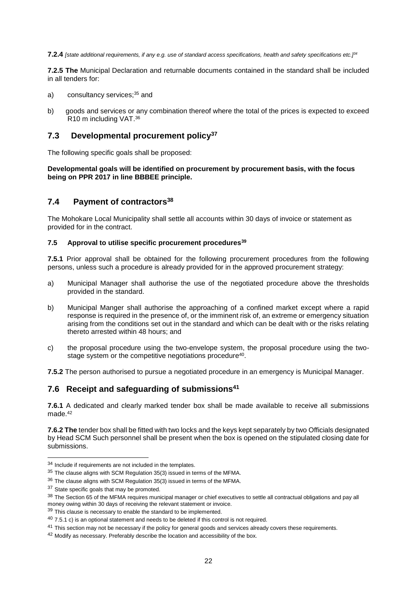**7.2.4** *[state additional requirements, if any e.g. use of standard access specifications, health and safety specifications etc.]<sup>34</sup>*

**7.2.5 The** Municipal Declaration and returnable documents contained in the standard shall be included in all tenders for:

- a) consultancy services; <sup>35</sup> and
- b)goods and services or any combination thereof where the total of the prices is expected to exceed R10 m including VAT.<sup>36</sup>

## <span id="page-23-0"></span>**7.3 Developmental procurement policy<sup>37</sup>**

The following specific goals shall be proposed:

**Developmental goals will be identified on procurement by procurement basis, with the focus being on PPR 2017 in line BBBEE principle.** 

## <span id="page-23-1"></span>**7.4 Payment of contractors<sup>38</sup>**

The Mohokare Local Municipality shall settle all accounts within 30 days of invoice or statement as provided for in the contract.

## <span id="page-23-2"></span>**7.5 Approval to utilise specific procurement procedures<sup>39</sup>**

**7.5.1** Prior approval shall be obtained for the following procurement procedures from the following persons, unless such a procedure is already provided for in the approved procurement strategy:

- a) Municipal Manager shall authorise the use of the negotiated procedure above the thresholds provided in the standard.
- b) Municipal Manger shall authorise the approaching of a confined market except where a rapid response is required in the presence of, or the imminent risk of, an extreme or emergency situation arising from the conditions set out in the standard and which can be dealt with or the risks relating thereto arrested within 48 hours; and
- c) the proposal procedure using the two-envelope system, the proposal procedure using the twostage system or the competitive negotiations procedure<sup>40</sup>.

**7.5.2** The person authorised to pursue a negotiated procedure in an emergency is Municipal Manager.

### <span id="page-23-3"></span>**7.6 Receipt and safeguarding of submissions<sup>41</sup>**

**7.6.1** A dedicated and clearly marked tender box shall be made available to receive all submissions made. 42

**7.6.2 The** tender box shall be fitted with two locks and the keys kept separately by two Officials designated by Head SCM Such personnel shall be present when the box is opened on the stipulated closing date for submissions.

<sup>&</sup>lt;sup>34</sup> Include if requirements are not included in the templates.

<sup>&</sup>lt;sup>35</sup> The clause aligns with SCM Regulation 35(3) issued in terms of the MFMA.

<sup>&</sup>lt;sup>36</sup> The clause aligns with SCM Regulation 35(3) issued in terms of the MFMA.

<sup>&</sup>lt;sup>37</sup> State specific goals that may be promoted.

<sup>&</sup>lt;sup>38</sup> The Section 65 of the MFMA requires municipal manager or chief executives to settle all contractual obligations and pay all money owing within 30 days of receiving the relevant statement or invoice.

 $39$  This clause is necessary to enable the standard to be implemented.

 $40$  7.5.1 c) is an optional statement and needs to be deleted if this control is not required.

<sup>&</sup>lt;sup>41</sup> This section may not be necessary if the policy for general goods and services already covers these requirements.

<sup>&</sup>lt;sup>42</sup> Modify as necessary. Preferably describe the location and accessibility of the box.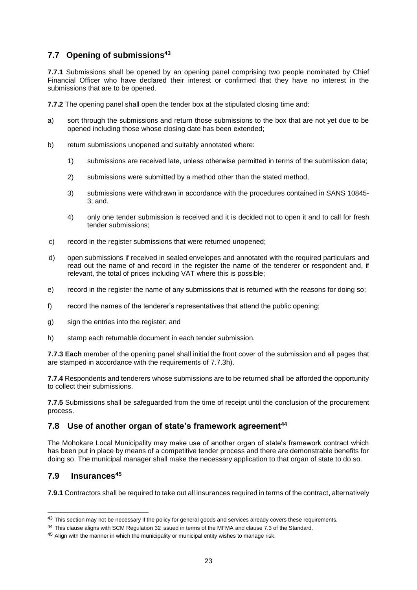# <span id="page-24-0"></span>**7.7 Opening of submissions<sup>43</sup>**

**7.7.1** Submissions shall be opened by an opening panel comprising two people nominated by Chief Financial Officer who have declared their interest or confirmed that they have no interest in the submissions that are to be opened.

**7.7.2** The opening panel shall open the tender box at the stipulated closing time and:

- a) sort through the submissions and return those submissions to the box that are not yet due to be opened including those whose closing date has been extended;
- b) return submissions unopened and suitably annotated where:
	- 1) submissions are received late, unless otherwise permitted in terms of the submission data;
	- 2) submissions were submitted by a method other than the stated method,
	- 3) submissions were withdrawn in accordance with the procedures contained in SANS 10845- 3; and.
	- 4) only one tender submission is received and it is decided not to open it and to call for fresh tender submissions;
- c) record in the register submissions that were returned unopened;
- d) open submissions if received in sealed envelopes and annotated with the required particulars and read out the name of and record in the register the name of the tenderer or respondent and, if relevant, the total of prices including VAT where this is possible;
- e) record in the register the name of any submissions that is returned with the reasons for doing so;
- f) record the names of the tenderer's representatives that attend the public opening;
- g) sign the entries into the register; and
- h) stamp each returnable document in each tender submission.

**7.7.3 Each** member of the opening panel shall initial the front cover of the submission and all pages that are stamped in accordance with the requirements of 7.7.3h).

**7.7.4** Respondents and tenderers whose submissions are to be returned shall be afforded the opportunity to collect their submissions.

**7.7.5** Submissions shall be safeguarded from the time of receipt until the conclusion of the procurement process.

## <span id="page-24-1"></span>**7.8 Use of another organ of state's framework agreement<sup>44</sup>**

The Mohokare Local Municipality may make use of another organ of state's framework contract which has been put in place by means of a competitive tender process and there are demonstrable benefits for doing so. The municipal manager shall make the necessary application to that organ of state to do so.

## <span id="page-24-2"></span>**7.9 Insurances<sup>45</sup>**

l

<span id="page-24-3"></span>**7.9.1** Contractors shall be required to take out all insurances required in terms of the contract, alternatively

<sup>&</sup>lt;sup>43</sup> This section may not be necessary if the policy for general goods and services already covers these requirements.

<sup>44</sup> This clause aligns with SCM Regulation 32 issued in terms of the MFMA and clause 7.3 of the Standard.

 $45$  Align with the manner in which the municipality or municipal entity wishes to manage risk.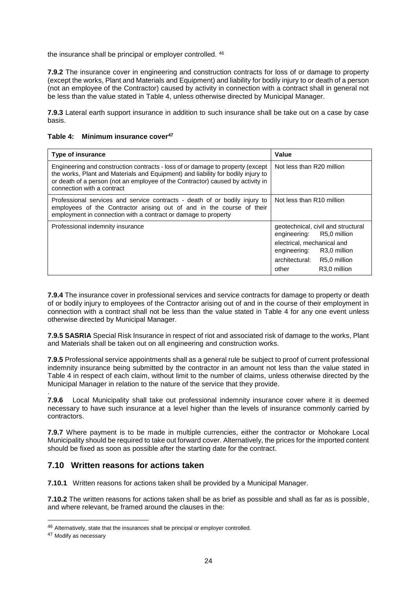the insurance shall be principal or employer controlled. <sup>46</sup>

**7.9.2** The insurance cover in engineering and construction contracts for loss of or damage to property (except the works, Plant and Materials and Equipment) and liability for bodily injury to or death of a person (not an employee of the Contractor) caused by activity in connection with a contract shall in general not be less than the value stated in Table 4, unless otherwise directed by Municipal Manager.

**7.9.3** Lateral earth support insurance in addition to such insurance shall be take out on a case by case basis.

| <b>Type of insurance</b>                                                                                                                                                                                                                                                           | Value                                                           |
|------------------------------------------------------------------------------------------------------------------------------------------------------------------------------------------------------------------------------------------------------------------------------------|-----------------------------------------------------------------|
| Engineering and construction contracts - loss of or damage to property (except<br>the works, Plant and Materials and Equipment) and liability for bodily injury to<br>or death of a person (not an employee of the Contractor) caused by activity in<br>connection with a contract | Not less than R20 million                                       |
| Professional services and service contracts - death of or bodily injury to<br>employees of the Contractor arising out of and in the course of their<br>employment in connection with a contract or damage to property                                                              | Not less than R10 million                                       |
| Professional indemnity insurance                                                                                                                                                                                                                                                   | geotechnical, civil and structural<br>engineering: R5,0 million |
|                                                                                                                                                                                                                                                                                    | electrical, mechanical and<br>R3,0 million<br>engineering:      |
|                                                                                                                                                                                                                                                                                    | architectural:<br>R5,0 million                                  |
|                                                                                                                                                                                                                                                                                    | R <sub>3.0</sub> million<br>other                               |

| Table 4: Minimum insurance cover <sup>47</sup> |  |
|------------------------------------------------|--|
|------------------------------------------------|--|

**7.9.4** The insurance cover in professional services and service contracts for damage to property or death of or bodily injury to employees of the Contractor arising out of and in the course of their employment in connection with a contract shall not be less than the value stated in Table 4 for any one event unless otherwise directed by Municipal Manager.

**7.9.5 SASRIA** Special Risk Insurance in respect of riot and associated risk of damage to the works, Plant and Materials shall be taken out on all engineering and construction works.

**7.9.5** Professional service appointments shall as a general rule be subject to proof of current professional indemnity insurance being submitted by the contractor in an amount not less than the value stated in Table 4 in respect of each claim, without limit to the number of claims, unless otherwise directed by the Municipal Manager in relation to the nature of the service that they provide.

. **7.9.6** Local Municipality shall take out professional indemnity insurance cover where it is deemed necessary to have such insurance at a level higher than the levels of insurance commonly carried by contractors.

**7.9.7** Where payment is to be made in multiple currencies, either the contractor or Mohokare Local Municipality should be required to take out forward cover. Alternatively, the prices for the imported content should be fixed as soon as possible after the starting date for the contract.

## <span id="page-25-0"></span>**7.10 Written reasons for actions taken**

**7.10.1** Written reasons for actions taken shall be provided by a Municipal Manager.

**7.10.2** The written reasons for actions taken shall be as brief as possible and shall as far as is possible, and where relevant, be framed around the clauses in the:

<sup>46</sup> Alternatively, state that the insurances shall be principal or employer controlled.

<sup>47</sup> Modify as necessary